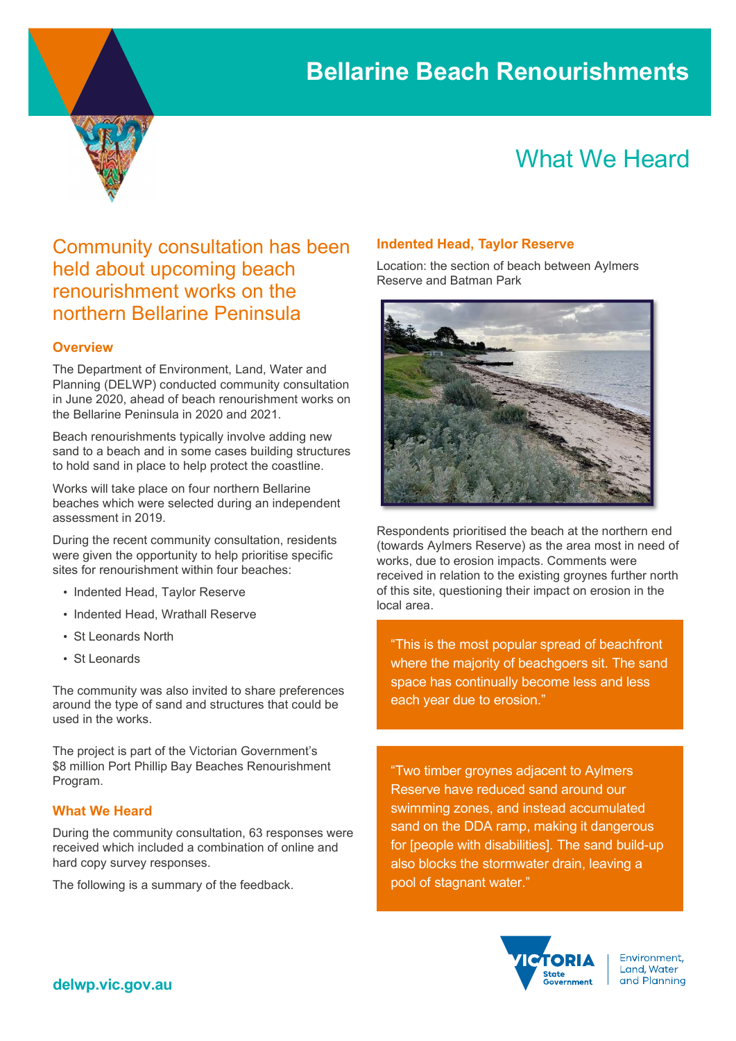

# What We Heard

### Community consultation has been held about upcoming beach renourishment works on the northern Bellarine Peninsula

### **Overview**

The Department of Environment, Land, Water and Planning (DELWP) conducted community consultation in June 2020, ahead of beach renourishment works on the Bellarine Peninsula in 2020 and 2021.

Beach renourishments typically involve adding new sand to a beach and in some cases building structures to hold sand in place to help protect the coastline.

Works will take place on four northern Bellarine beaches which were selected during an independent assessment in 2019.

During the recent community consultation, residents were given the opportunity to help prioritise specific sites for renourishment within four beaches:

- Indented Head, Taylor Reserve
- Indented Head, Wrathall Reserve
- St Leonards North
- St Leonards

The community was also invited to share preferences around the type of sand and structures that could be used in the works.

The project is part of the Victorian Government's \$8 million Port Phillip Bay Beaches Renourishment Program.

### What We Heard

During the community consultation, 63 responses were received which included a combination of online and hard copy survey responses.

The following is a summary of the feedback.

### Indented Head, Taylor Reserve

Location: the section of beach between Aylmers Reserve and Batman Park



Respondents prioritised the beach at the northern end (towards Aylmers Reserve) as the area most in need of works, due to erosion impacts. Comments were received in relation to the existing groynes further north of this site, questioning their impact on erosion in the local area.

"This is the most popular spread of beachfront where the majority of beachgoers sit. The sand space has continually become less and less each year due to erosion."

"Two timber groynes adjacent to Aylmers Reserve have reduced sand around our swimming zones, and instead accumulated sand on the DDA ramp, making it dangerous for [people with disabilities]. The sand build-up also blocks the stormwater drain, leaving a pool of stagnant water."



Environment. Land, Water and Planning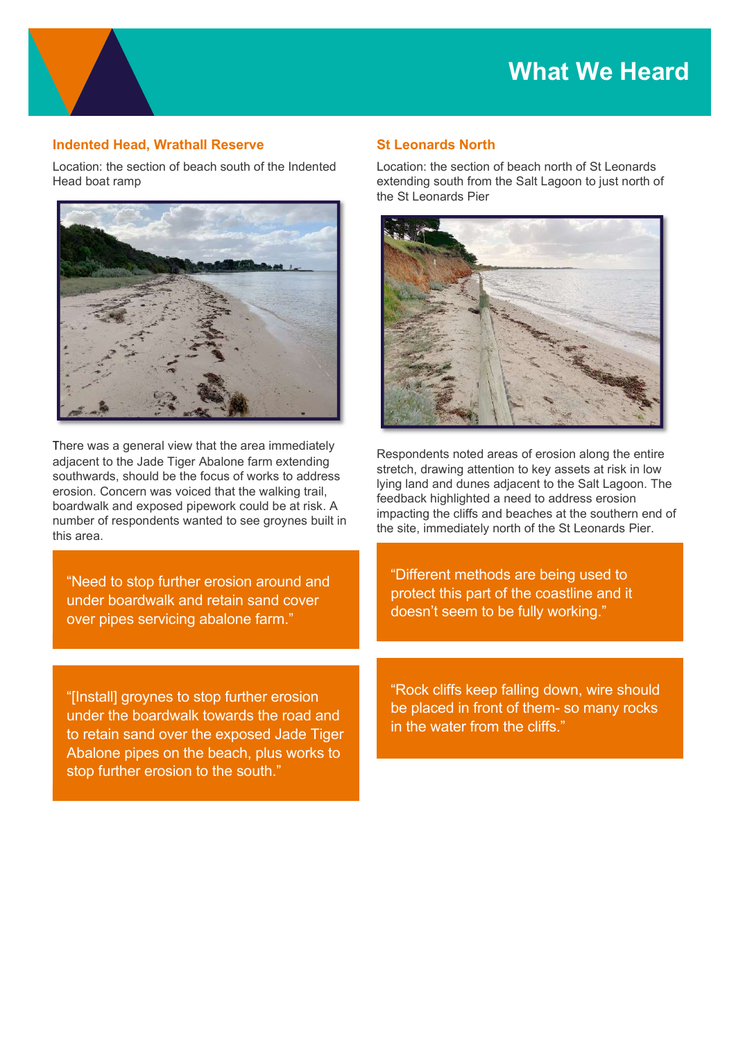### Indented Head, Wrathall Reserve

Location: the section of beach south of the Indented Head boat ramp



There was a general view that the area immediately adjacent to the Jade Tiger Abalone farm extending southwards, should be the focus of works to address erosion. Concern was voiced that the walking trail, boardwalk and exposed pipework could be at risk. A number of respondents wanted to see groynes built in this area.

"Need to stop further erosion around and under boardwalk and retain sand cover over pipes servicing abalone farm."

"[Install] groynes to stop further erosion under the boardwalk towards the road and to retain sand over the exposed Jade Tiger Abalone pipes on the beach, plus works to stop further erosion to the south."

### St Leonards North

Location: the section of beach north of St Leonards extending south from the Salt Lagoon to just north of the St Leonards Pier



Respondents noted areas of erosion along the entire stretch, drawing attention to key assets at risk in low lying land and dunes adjacent to the Salt Lagoon. The feedback highlighted a need to address erosion impacting the cliffs and beaches at the southern end of the site, immediately north of the St Leonards Pier.

"Different methods are being used to protect this part of the coastline and it doesn't seem to be fully working."

"Rock cliffs keep falling down, wire should be placed in front of them- so many rocks in the water from the cliffs."